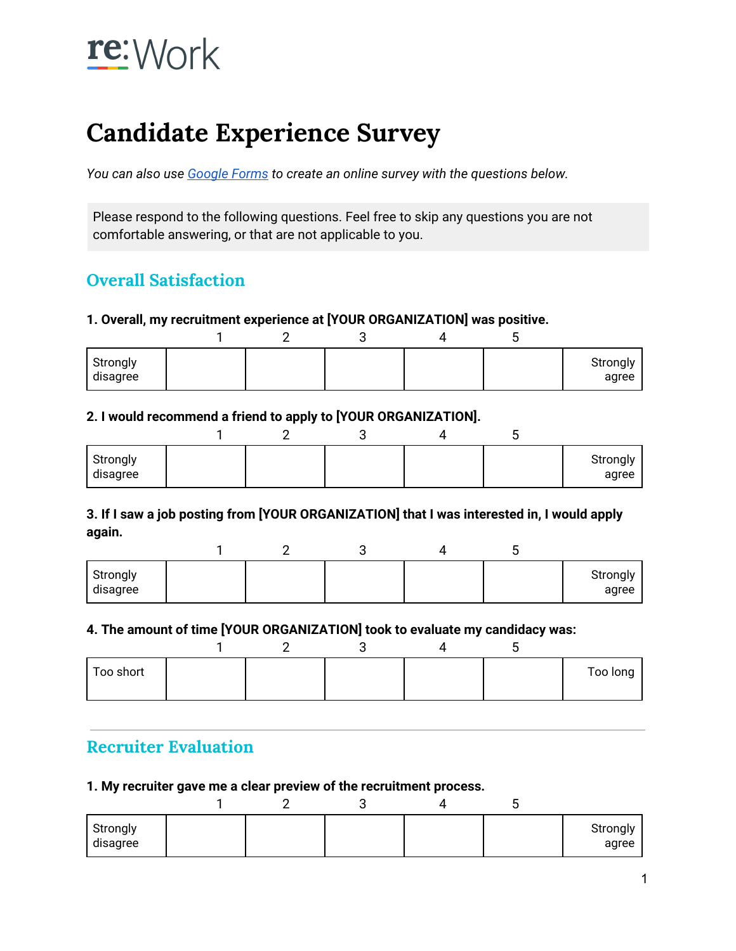# re: Work

## **Candidate Experience Survey**

*You can also use [Google](https://support.google.com/docs/answer/87809?hl=en) Forms to create an online survey with the questions below.*

Please respond to the following questions. Feel free to skip any questions you are not comfortable answering, or that are not applicable to you.

### **Overall Satisfaction**

#### **1. Overall, my recruitment experience at [YOUR ORGANIZATION] was positive.**

| Strongly<br>disagree |  |  | Strongly<br>agree |
|----------------------|--|--|-------------------|

#### **2. I would recommend a friend to apply to [YOUR ORGANIZATION].**

|                      |  |  | ັ |                   |
|----------------------|--|--|---|-------------------|
| Strongly<br>disagree |  |  |   | Strongly<br>agree |

#### **3. If I saw a job posting from [YOUR ORGANIZATION] that I was interested in, I would apply again.**

| Strongly<br>disagree |  |  | Strongly<br>agree |
|----------------------|--|--|-------------------|

#### **4. The amount of time [YOUR ORGANIZATION] took to evaluate my candidacy was:**

| Too short |  |  | Too long |
|-----------|--|--|----------|

## **Recruiter Evaluation**

#### **1. My recruiter gave me a clear preview of the recruitment process.**

| Strongly<br>disagree |  |  | Strongly<br>agree |
|----------------------|--|--|-------------------|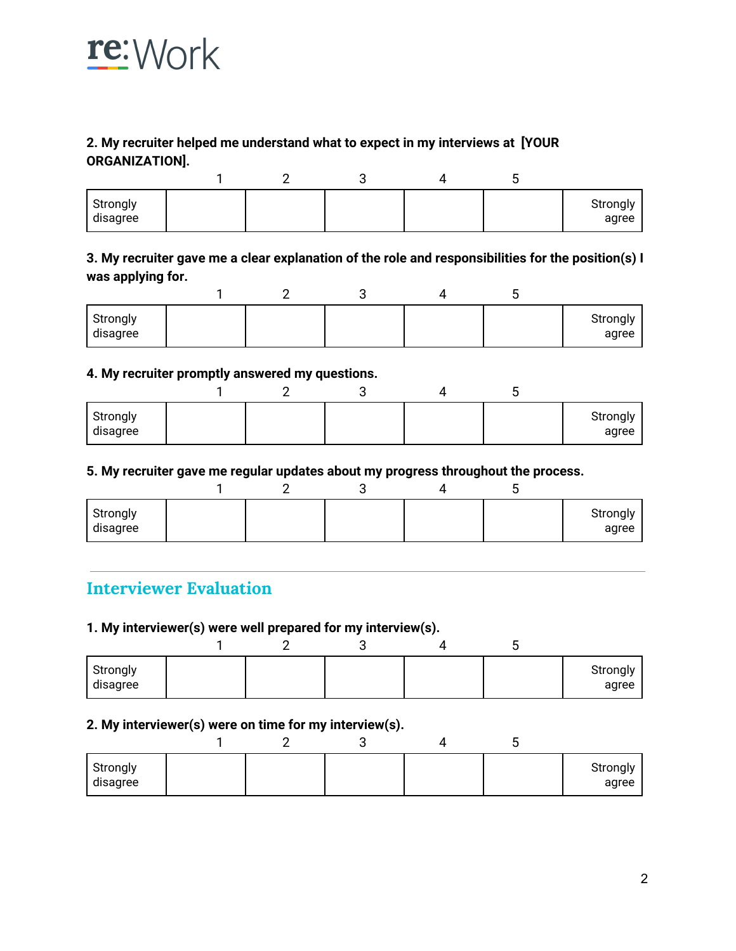

#### **2. My recruiter helped me understand what to expect in my interviews at [YOUR ORGANIZATION].**

|                      |  |  | ⊾ |                   |
|----------------------|--|--|---|-------------------|
| Strongly<br>disagree |  |  |   | Strongly<br>agree |

#### **3. My recruiter gave me a clear explanation of the role and responsibilities for the position(s) I was applying for.**

|                      |  |  | ∼ |                   |
|----------------------|--|--|---|-------------------|
| Strongly<br>disagree |  |  |   | Strongly<br>agree |

#### **4. My recruiter promptly answered my questions.**

| Strongly<br>disagree |  |  | Strongly<br>agree |
|----------------------|--|--|-------------------|

#### **5. My recruiter gave me regular updates about my progress throughout the process.**

| Strongly<br>disagree |  |  | Strongly<br>agree |
|----------------------|--|--|-------------------|

### **Interviewer Evaluation**

#### **1. My interviewer(s) were well prepared for my interview(s).**

| Strongly<br>disagree |  |  | Strongly<br>agree |
|----------------------|--|--|-------------------|

#### **2. My interviewer(s) were on time for my interview(s).**

|                      |  |  | ◡ |                   |
|----------------------|--|--|---|-------------------|
| Strongly<br>disagree |  |  |   | Strongly<br>agree |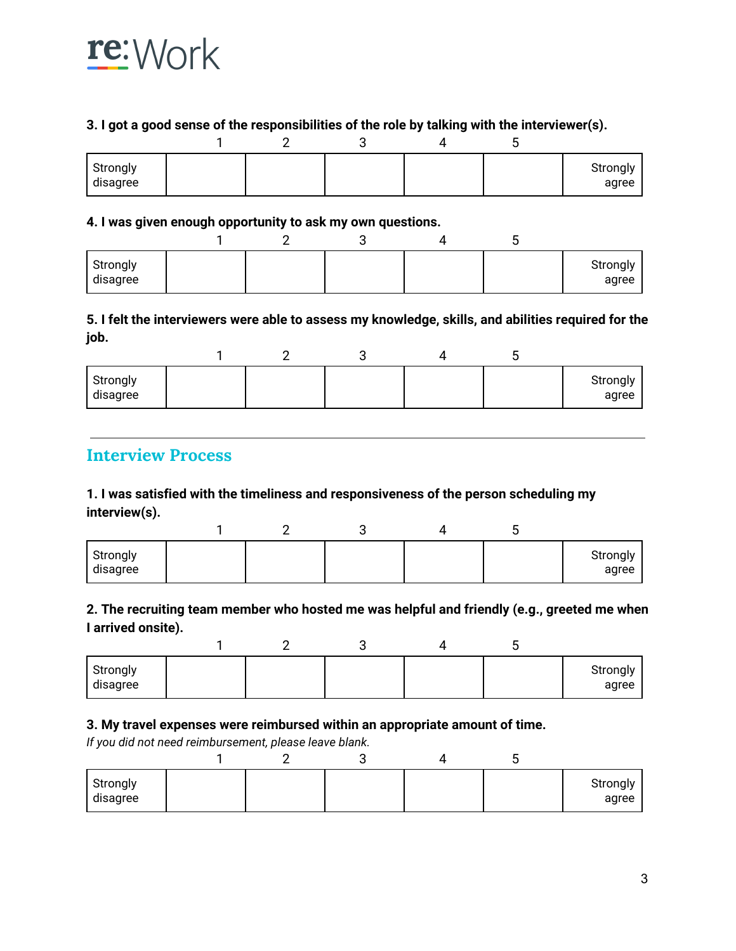

#### **3. I got a good sense of the responsibilities of the role by talking with the interviewer(s).**

| Strongly<br>disagree |  |  | Strongly<br>agree |
|----------------------|--|--|-------------------|

#### **4. I was given enough opportunity to ask my own questions.**

| Strongly<br>disagree |  |  | Strongly<br>agree |
|----------------------|--|--|-------------------|

#### **5. I felt the interviewers were able to assess my knowledge, skills, and abilities required for the job.**

| Strongly<br>disagree |  |  | Strongly<br>agree |
|----------------------|--|--|-------------------|

#### **Interview Process**

#### **1. I was satisfied with the timeliness and responsiveness of the person scheduling my interview(s).**

| Strongly<br>disagree |  |  | Strongly<br>agree |
|----------------------|--|--|-------------------|

#### **2. The recruiting team member who hosted me was helpful and friendly (e.g., greeted me when I arrived onsite).**

| Strongly<br>disagree |  |  | Strongly<br>agree |
|----------------------|--|--|-------------------|

#### **3. My travel expenses were reimbursed within an appropriate amount of time.**

*If you did not need reimbursement, please leave blank.*

| Strongly<br>disagree |  |  | Strongly<br>agree |
|----------------------|--|--|-------------------|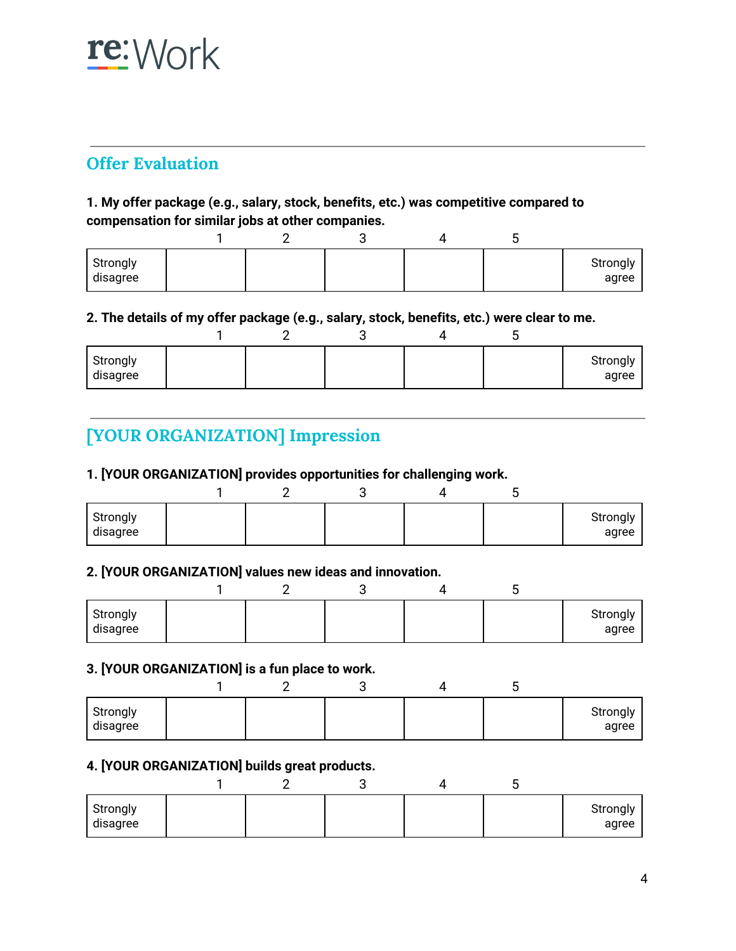## re: Work

## **Offer Evaluation**

#### **1. My offer package (e.g., salary, stock, benefits, etc.) was competitive compared to compensation for similar jobs at other companies.**

| Strongly<br>disagree |  |  | Strongly<br>agree |
|----------------------|--|--|-------------------|

#### **2. The details of my offer package (e.g., salary, stock, benefits, etc.) were clear to me.**

| Strongly<br>disagree |  |  | Strongly<br>agree |
|----------------------|--|--|-------------------|

## **[YOUR ORGANIZATION] Impression**

#### **1. [YOUR ORGANIZATION] provides opportunities for challenging work.**

|                      |  |  | ີ |                   |
|----------------------|--|--|---|-------------------|
| Strongly<br>disagree |  |  |   | Strongly<br>agree |

#### **2. [YOUR ORGANIZATION] values new ideas and innovation.**

| Strongly<br>disagree |  |  | Strongly<br>agree |
|----------------------|--|--|-------------------|

#### **3. [YOUR ORGANIZATION] is a fun place to work.**

| Strongly<br>disagree |  |  | Strongly<br>agree |
|----------------------|--|--|-------------------|

#### **4. [YOUR ORGANIZATION] builds great products.**

|                      |  | ∼ |                   |
|----------------------|--|---|-------------------|
| Strongly<br>disagree |  |   | Strongly<br>agree |